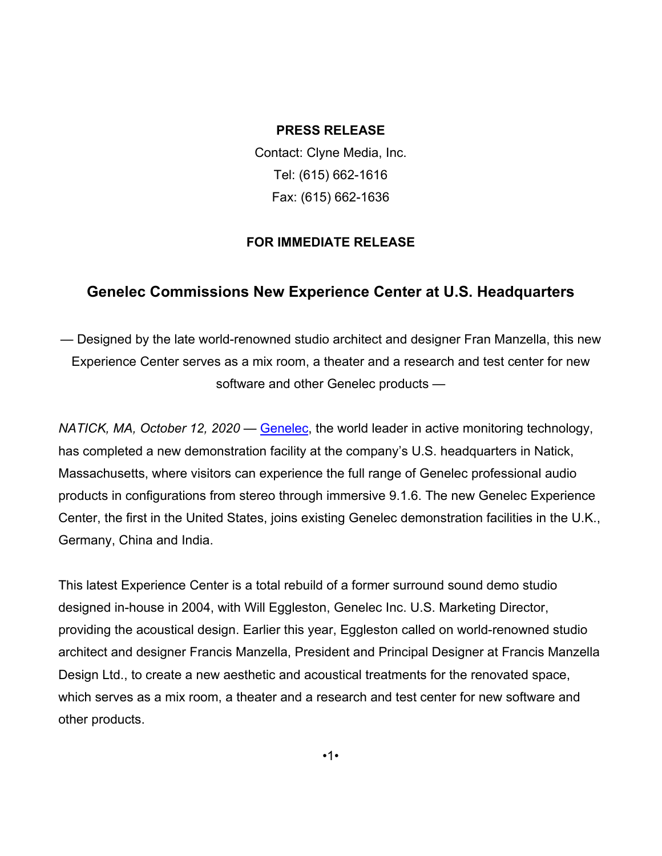### **PRESS RELEASE**

Contact: Clyne Media, Inc. Tel: (615) 662-1616 Fax: (615) 662-1636

## **FOR IMMEDIATE RELEASE**

# **Genelec Commissions New Experience Center at U.S. Headquarters**

— Designed by the late world-renowned studio architect and designer Fran Manzella, this new Experience Center serves as a mix room, a theater and a research and test center for new software and other Genelec products —

*NATICK, MA, October 12, 2020* — [Genelec,](http://www.genelecusa.com/) the world leader in active monitoring technology, has completed a new demonstration facility at the company's U.S. headquarters in Natick, Massachusetts, where visitors can experience the full range of Genelec professional audio products in configurations from stereo through immersive 9.1.6. The new Genelec Experience Center, the first in the United States, joins existing Genelec demonstration facilities in the U.K., Germany, China and India.

This latest Experience Center is a total rebuild of a former surround sound demo studio designed in-house in 2004, with Will Eggleston, Genelec Inc. U.S. Marketing Director, providing the acoustical design. Earlier this year, Eggleston called on world-renowned studio architect and designer Francis Manzella, President and Principal Designer at Francis Manzella Design Ltd., to create a new aesthetic and acoustical treatments for the renovated space, which serves as a mix room, a theater and a research and test center for new software and other products.

•1•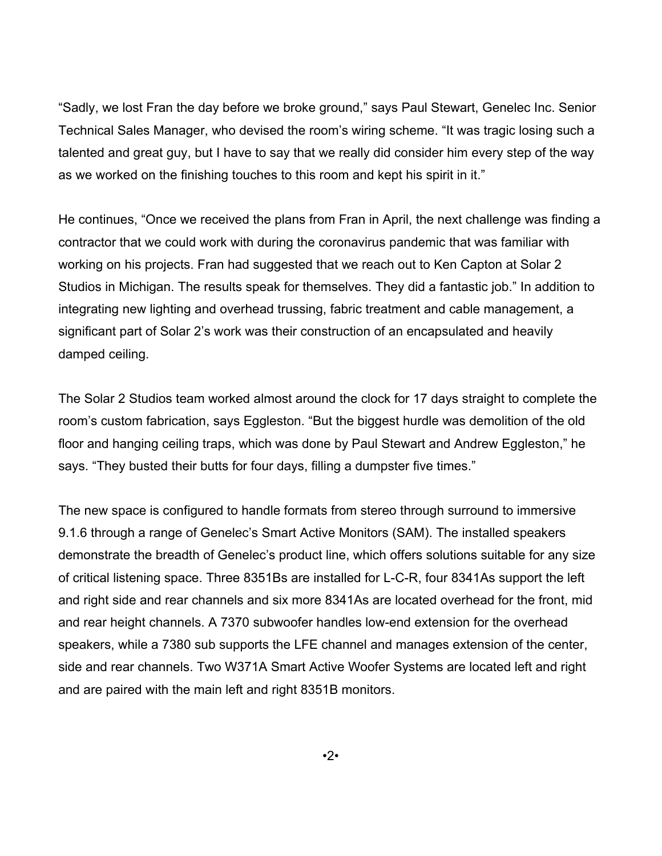"Sadly, we lost Fran the day before we broke ground," says Paul Stewart, Genelec Inc. Senior Technical Sales Manager, who devised the room's wiring scheme. "It was tragic losing such a talented and great guy, but I have to say that we really did consider him every step of the way as we worked on the finishing touches to this room and kept his spirit in it."

He continues, "Once we received the plans from Fran in April, the next challenge was finding a contractor that we could work with during the coronavirus pandemic that was familiar with working on his projects. Fran had suggested that we reach out to Ken Capton at Solar 2 Studios in Michigan. The results speak for themselves. They did a fantastic job." In addition to integrating new lighting and overhead trussing, fabric treatment and cable management, a significant part of Solar 2's work was their construction of an encapsulated and heavily damped ceiling.

The Solar 2 Studios team worked almost around the clock for 17 days straight to complete the room's custom fabrication, says Eggleston. "But the biggest hurdle was demolition of the old floor and hanging ceiling traps, which was done by Paul Stewart and Andrew Eggleston," he says. "They busted their butts for four days, filling a dumpster five times."

The new space is configured to handle formats from stereo through surround to immersive 9.1.6 through a range of Genelec's Smart Active Monitors (SAM). The installed speakers demonstrate the breadth of Genelec's product line, which offers solutions suitable for any size of critical listening space. Three 8351Bs are installed for L-C-R, four 8341As support the left and right side and rear channels and six more 8341As are located overhead for the front, mid and rear height channels. A 7370 subwoofer handles low-end extension for the overhead speakers, while a 7380 sub supports the LFE channel and manages extension of the center, side and rear channels. Two W371A Smart Active Woofer Systems are located left and right and are paired with the main left and right 8351B monitors.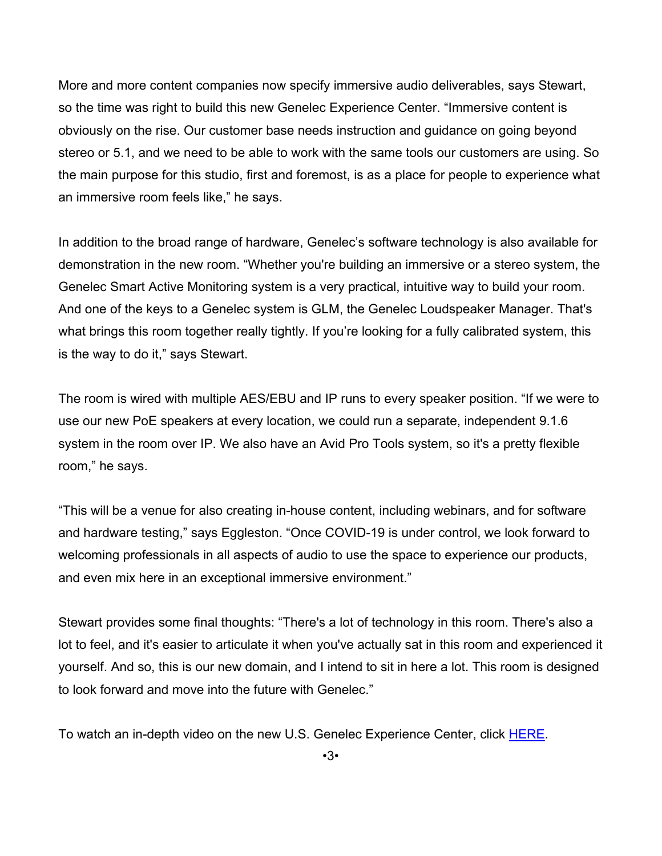More and more content companies now specify immersive audio deliverables, says Stewart, so the time was right to build this new Genelec Experience Center. "Immersive content is obviously on the rise. Our customer base needs instruction and guidance on going beyond stereo or 5.1, and we need to be able to work with the same tools our customers are using. So the main purpose for this studio, first and foremost, is as a place for people to experience what an immersive room feels like," he says.

In addition to the broad range of hardware, Genelec's software technology is also available for demonstration in the new room. "Whether you're building an immersive or a stereo system, the Genelec Smart Active Monitoring system is a very practical, intuitive way to build your room. And one of the keys to a Genelec system is GLM, the Genelec Loudspeaker Manager. That's what brings this room together really tightly. If you're looking for a fully calibrated system, this is the way to do it," says Stewart.

The room is wired with multiple AES/EBU and IP runs to every speaker position. "If we were to use our new PoE speakers at every location, we could run a separate, independent 9.1.6 system in the room over IP. We also have an Avid Pro Tools system, so it's a pretty flexible room," he says.

"This will be a venue for also creating in-house content, including webinars, and for software and hardware testing," says Eggleston. "Once COVID-19 is under control, we look forward to welcoming professionals in all aspects of audio to use the space to experience our products, and even mix here in an exceptional immersive environment."

Stewart provides some final thoughts: "There's a lot of technology in this room. There's also a lot to feel, and it's easier to articulate it when you've actually sat in this room and experienced it yourself. And so, this is our new domain, and I intend to sit in here a lot. This room is designed to look forward and move into the future with Genelec."

To watch an in-depth video on the new U.S. Genelec Experience Center, click [HERE.](https://youtu.be/O1J42jKFyxA)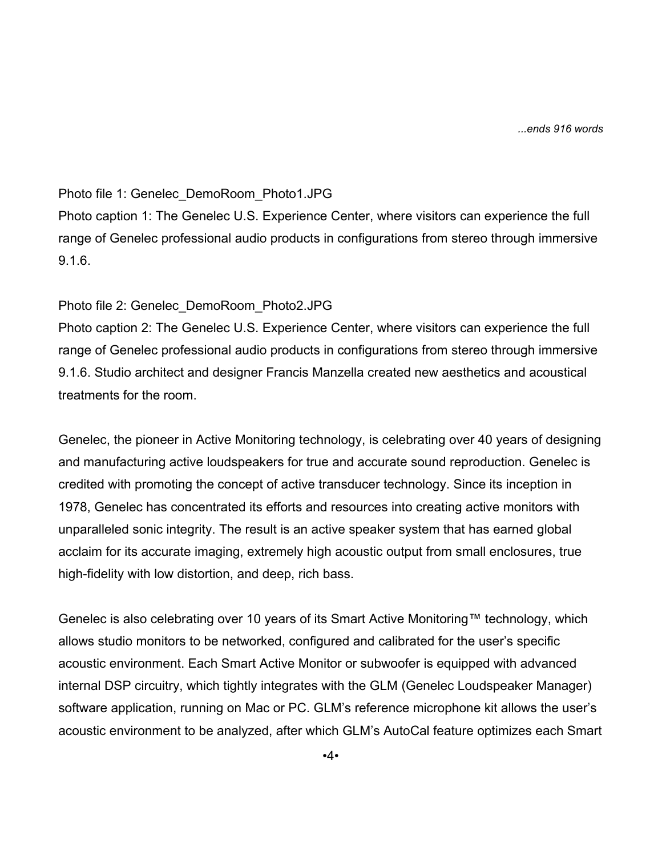*...ends 916 words*

#### Photo file 1: Genelec\_DemoRoom\_Photo1.JPG

Photo caption 1: The Genelec U.S. Experience Center, where visitors can experience the full range of Genelec professional audio products in configurations from stereo through immersive 9.1.6.

### Photo file 2: Genelec\_DemoRoom\_Photo2.JPG

Photo caption 2: The Genelec U.S. Experience Center, where visitors can experience the full range of Genelec professional audio products in configurations from stereo through immersive 9.1.6. Studio architect and designer Francis Manzella created new aesthetics and acoustical treatments for the room.

Genelec, the pioneer in Active Monitoring technology, is celebrating over 40 years of designing and manufacturing active loudspeakers for true and accurate sound reproduction. Genelec is credited with promoting the concept of active transducer technology. Since its inception in 1978, Genelec has concentrated its efforts and resources into creating active monitors with unparalleled sonic integrity. The result is an active speaker system that has earned global acclaim for its accurate imaging, extremely high acoustic output from small enclosures, true high-fidelity with low distortion, and deep, rich bass.

Genelec is also celebrating over 10 years of its Smart Active Monitoring™ technology, which allows studio monitors to be networked, configured and calibrated for the user's specific acoustic environment. Each Smart Active Monitor or subwoofer is equipped with advanced internal DSP circuitry, which tightly integrates with the GLM (Genelec Loudspeaker Manager) software application, running on Mac or PC. GLM's reference microphone kit allows the user's acoustic environment to be analyzed, after which GLM's AutoCal feature optimizes each Smart